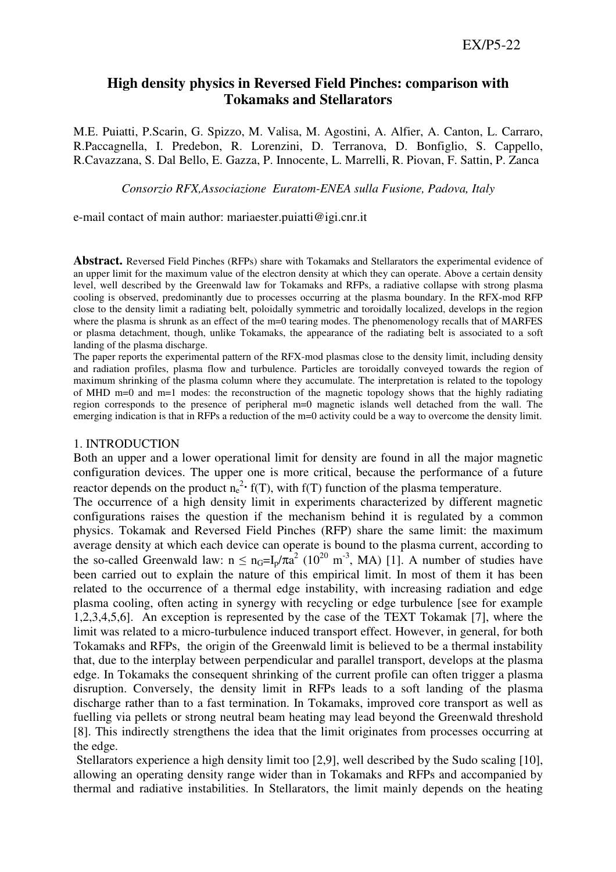# **High density physics in Reversed Field Pinches: comparison with Tokamaks and Stellarators**

M.E. Puiatti, P.Scarin, G. Spizzo, M. Valisa, M. Agostini, A. Alfier, A. Canton, L. Carraro, R.Paccagnella, I. Predebon, R. Lorenzini, D. Terranova, D. Bonfiglio, S. Cappello, R.Cavazzana, S. Dal Bello, E. Gazza, P. Innocente, L. Marrelli, R. Piovan, F. Sattin, P. Zanca

*Consorzio RFX,Associazione Euratom-ENEA sulla Fusione, Padova, Italy* 

e-mail contact of main author: mariaester.puiatti@igi.cnr.it

**Abstract.** Reversed Field Pinches (RFPs) share with Tokamaks and Stellarators the experimental evidence of an upper limit for the maximum value of the electron density at which they can operate. Above a certain density level, well described by the Greenwald law for Tokamaks and RFPs, a radiative collapse with strong plasma cooling is observed, predominantly due to processes occurring at the plasma boundary. In the RFX-mod RFP close to the density limit a radiating belt, poloidally symmetric and toroidally localized, develops in the region where the plasma is shrunk as an effect of the m=0 tearing modes. The phenomenology recalls that of MARFES or plasma detachment, though, unlike Tokamaks, the appearance of the radiating belt is associated to a soft landing of the plasma discharge.

The paper reports the experimental pattern of the RFX-mod plasmas close to the density limit, including density and radiation profiles, plasma flow and turbulence. Particles are toroidally conveyed towards the region of maximum shrinking of the plasma column where they accumulate. The interpretation is related to the topology of MHD m=0 and m=1 modes: the reconstruction of the magnetic topology shows that the highly radiating region corresponds to the presence of peripheral m=0 magnetic islands well detached from the wall. The emerging indication is that in RFPs a reduction of the m=0 activity could be a way to overcome the density limit.

#### 1. INTRODUCTION

Both an upper and a lower operational limit for density are found in all the major magnetic configuration devices. The upper one is more critical, because the performance of a future reactor depends on the product  $n_e^2$  f(T), with f(T) function of the plasma temperature.

The occurrence of a high density limit in experiments characterized by different magnetic configurations raises the question if the mechanism behind it is regulated by a common physics. Tokamak and Reversed Field Pinches (RFP) share the same limit: the maximum average density at which each device can operate is bound to the plasma current, according to the so-called Greenwald law:  $n \le n_G = I_p / \pi a^2 (10^{20} \text{ m}^{-3}, \text{ MA})$  [1]. A number of studies have been carried out to explain the nature of this empirical limit. In most of them it has been related to the occurrence of a thermal edge instability, with increasing radiation and edge plasma cooling, often acting in synergy with recycling or edge turbulence [see for example 1,2,3,4,5,6]. An exception is represented by the case of the TEXT Tokamak [7], where the limit was related to a micro-turbulence induced transport effect. However, in general, for both Tokamaks and RFPs, the origin of the Greenwald limit is believed to be a thermal instability that, due to the interplay between perpendicular and parallel transport, develops at the plasma edge. In Tokamaks the consequent shrinking of the current profile can often trigger a plasma disruption. Conversely, the density limit in RFPs leads to a soft landing of the plasma discharge rather than to a fast termination. In Tokamaks, improved core transport as well as fuelling via pellets or strong neutral beam heating may lead beyond the Greenwald threshold [8]. This indirectly strengthens the idea that the limit originates from processes occurring at the edge.

 Stellarators experience a high density limit too [2,9], well described by the Sudo scaling [10], allowing an operating density range wider than in Tokamaks and RFPs and accompanied by thermal and radiative instabilities. In Stellarators, the limit mainly depends on the heating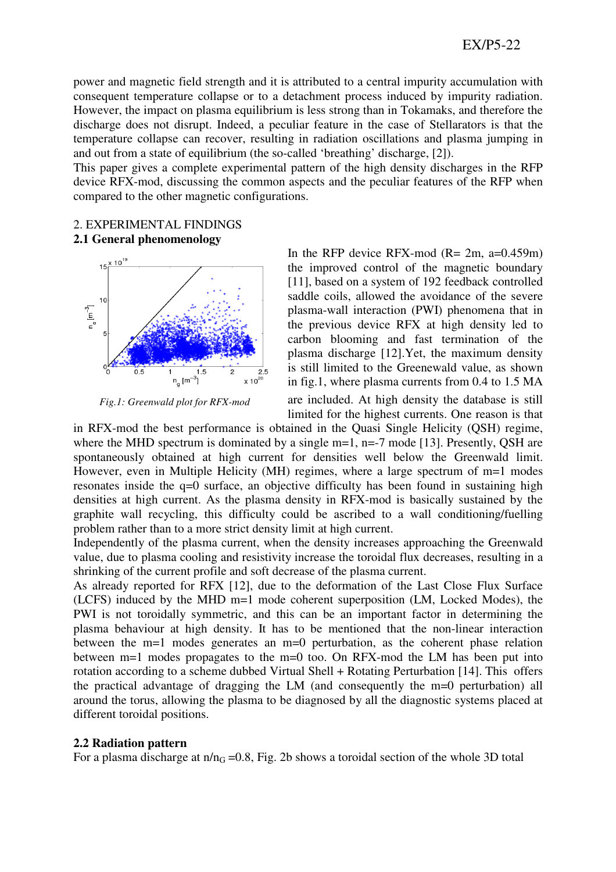power and magnetic field strength and it is attributed to a central impurity accumulation with consequent temperature collapse or to a detachment process induced by impurity radiation. However, the impact on plasma equilibrium is less strong than in Tokamaks, and therefore the discharge does not disrupt. Indeed, a peculiar feature in the case of Stellarators is that the temperature collapse can recover, resulting in radiation oscillations and plasma jumping in and out from a state of equilibrium (the so-called 'breathing' discharge, [2]).

This paper gives a complete experimental pattern of the high density discharges in the RFP device RFX-mod, discussing the common aspects and the peculiar features of the RFP when compared to the other magnetic configurations.

# 2. EXPERIMENTAL FINDINGS **2.1 General phenomenology**



*Fig.1: Greenwald plot for RFX-mod*

In the RFP device RFX-mod  $(R = 2m, a=0.459m)$ the improved control of the magnetic boundary [11], based on a system of 192 feedback controlled saddle coils, allowed the avoidance of the severe plasma-wall interaction (PWI) phenomena that in the previous device RFX at high density led to carbon blooming and fast termination of the plasma discharge [12].Yet, the maximum density is still limited to the Greenewald value, as shown in fig.1, where plasma currents from 0.4 to 1.5 MA

are included. At high density the database is still limited for the highest currents. One reason is that

in RFX-mod the best performance is obtained in the Quasi Single Helicity (QSH) regime, where the MHD spectrum is dominated by a single m=1, n=-7 mode [13]. Presently, QSH are spontaneously obtained at high current for densities well below the Greenwald limit. However, even in Multiple Helicity (MH) regimes, where a large spectrum of m=1 modes resonates inside the q=0 surface, an objective difficulty has been found in sustaining high densities at high current. As the plasma density in RFX-mod is basically sustained by the graphite wall recycling, this difficulty could be ascribed to a wall conditioning/fuelling problem rather than to a more strict density limit at high current.

Independently of the plasma current, when the density increases approaching the Greenwald value, due to plasma cooling and resistivity increase the toroidal flux decreases, resulting in a shrinking of the current profile and soft decrease of the plasma current.

As already reported for RFX [12], due to the deformation of the Last Close Flux Surface (LCFS) induced by the MHD m=1 mode coherent superposition (LM, Locked Modes), the PWI is not toroidally symmetric, and this can be an important factor in determining the plasma behaviour at high density. It has to be mentioned that the non-linear interaction between the m=1 modes generates an m=0 perturbation, as the coherent phase relation between m=1 modes propagates to the m=0 too. On RFX-mod the LM has been put into rotation according to a scheme dubbed Virtual Shell + Rotating Perturbation [14]. This offers the practical advantage of dragging the LM (and consequently the m=0 perturbation) all around the torus, allowing the plasma to be diagnosed by all the diagnostic systems placed at different toroidal positions.

### **2.2 Radiation pattern**

For a plasma discharge at  $n/n<sub>G</sub> = 0.8$ , Fig. 2b shows a toroidal section of the whole 3D total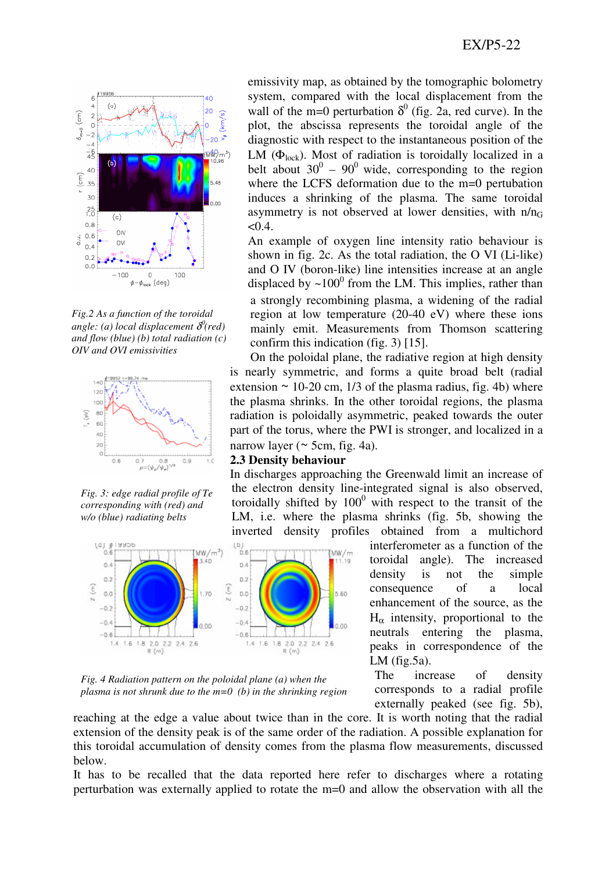

*Fig.2 As a function of the toroidal angle: (a) local displacement* δ 0 *(red) and flow (blue) (b) total radiation (c) OIV and OVI emissivities* 



*Fig. 3: edge radial profile of Te corresponding with (red) and w/o (blue) radiating belts* 

1.4 1.6 1.8 2.0 2.2 2.4 2.6

 $R(m)$ 

 $(0, 0.6)$ 

 $0.4$ 

 $0.2$ 

 $0.0$ 

 $-0.2$ 

 $-0.4$ 

 $-0.6$ 

z (m)

system, compared with the local displacement from the wall of the m=0 perturbation  $\delta^0$  (fig. 2a, red curve). In the plot, the abscissa represents the toroidal angle of the diagnostic with respect to the instantaneous position of the LM ( $\Phi_{\text{lock}}$ ). Most of radiation is toroidally localized in a belt about  $30^0 - 90^0$  wide, corresponding to the region where the LCFS deformation due to the m=0 pertubation induces a shrinking of the plasma. The same toroidal asymmetry is not observed at lower densities, with  $n/n<sub>G</sub>$  $< 0.4$ .

emissivity map, as obtained by the tomographic bolometry

An example of oxygen line intensity ratio behaviour is shown in fig. 2c. As the total radiation, the O VI (Li-like) and O IV (boron-like) line intensities increase at an angle displaced by  $\sim 100^0$  from the LM. This implies, rather than a strongly recombining plasma, a widening of the radial region at low temperature (20-40 eV) where these ions mainly emit. Measurements from Thomson scattering confirm this indication (fig. 3) [15].

On the poloidal plane, the radiative region at high density is nearly symmetric, and forms a quite broad belt (radial extension  $\sim$  10-20 cm, 1/3 of the plasma radius, fig. 4b) where the plasma shrinks. In the other toroidal regions, the plasma radiation is poloidally asymmetric, peaked towards the outer part of the torus, where the PWI is stronger, and localized in a narrow layer ( $\sim$  5cm, fig. 4a).

### **2.3 Density behaviour**

1.4 1.5 1.8 2.0 2.2 2.4 2.6

 $R(m)$ 

In discharges approaching the Greenwald limit an increase of the electron density line-integrated signal is also observed, toroidally shifted by  $100^0$  with respect to the transit of the LM, i.e. where the plasma shrinks (fig. 5b, showing the inverted density profiles obtained from a multichord

(MW/m

5.60

 $0.00$ 



The increase of density corresponds to a radial profile externally peaked (see fig. 5b),



 $(WW/m^3)$ 

40

1.70

 $0.00$ 

 $\binom{p}{0.6}$ 

 $0.4$ 

 $0.2$ 

 $0.0$ 

 $-0.2$ 

 $-0.4$ 

 $-0.8$ 

ĵ

reaching at the edge a value about twice than in the core. It is worth noting that the radial extension of the density peak is of the same order of the radiation. A possible explanation for this toroidal accumulation of density comes from the plasma flow measurements, discussed below.

It has to be recalled that the data reported here refer to discharges where a rotating perturbation was externally applied to rotate the m=0 and allow the observation with all the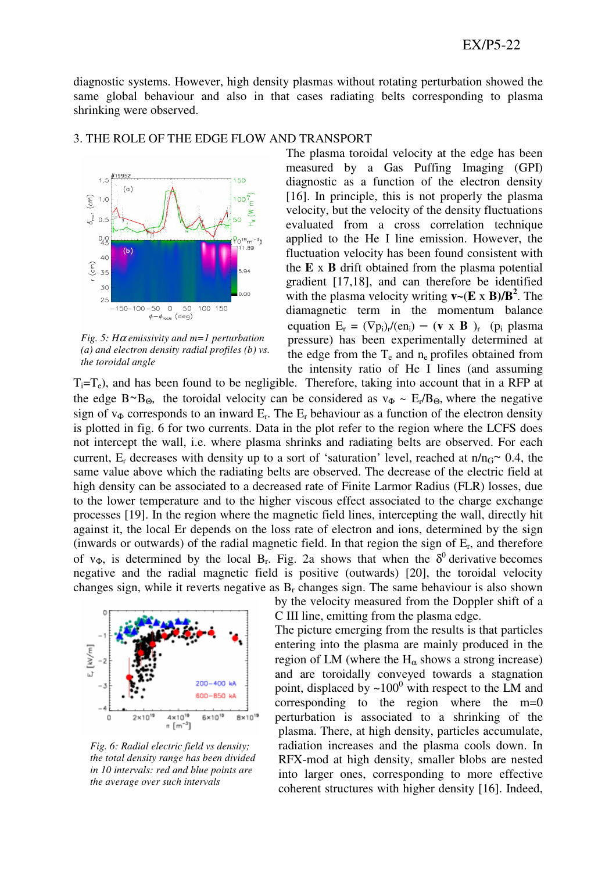diagnostic systems. However, high density plasmas without rotating perturbation showed the same global behaviour and also in that cases radiating belts corresponding to plasma shrinking were observed.



*Fig. 5: H*α *emissivity and m=1 perturbation (a) and electron density radial profiles (b) vs. the toroidal angle* 

#### 3. THE ROLE OF THE EDGE FLOW AND TRANSPORT

The plasma toroidal velocity at the edge has been measured by a Gas Puffing Imaging (GPI) diagnostic as a function of the electron density [16]. In principle, this is not properly the plasma velocity, but the velocity of the density fluctuations evaluated from a cross correlation technique applied to the He I line emission. However, the fluctuation velocity has been found consistent with the **E** x **B** drift obtained from the plasma potential gradient [17,18], and can therefore be identified with the plasma velocity writing  $\mathbf{v} \sim (\mathbf{E} \times \mathbf{B})/\mathbf{B}^2$ . The diamagnetic term in the momentum balance equation  $E_r = (\nabla p_i)_r / (en_i) - (\mathbf{v} \times \mathbf{B})_r$  (p<sub>i</sub> plasma pressure) has been experimentally determined at the edge from the  $T_e$  and  $n_e$  profiles obtained from the intensity ratio of He I lines (and assuming

 $T_i=T_e$ ), and has been found to be negligible. Therefore, taking into account that in a RFP at the edge  $B \sim B_{\Theta}$ , the toroidal velocity can be considered as  $v_{\Phi} \sim E_r/B_{\Theta}$ , where the negative sign of  $v_{\Phi}$  corresponds to an inward  $E_r$ . The  $E_r$  behaviour as a function of the electron density is plotted in fig. 6 for two currents. Data in the plot refer to the region where the LCFS does not intercept the wall, i.e. where plasma shrinks and radiating belts are observed. For each current,  $E_r$  decreases with density up to a sort of 'saturation' level, reached at n/n<sub>G</sub>~ 0.4, the same value above which the radiating belts are observed. The decrease of the electric field at high density can be associated to a decreased rate of Finite Larmor Radius (FLR) losses, due to the lower temperature and to the higher viscous effect associated to the charge exchange processes [19]. In the region where the magnetic field lines, intercepting the wall, directly hit against it, the local Er depends on the loss rate of electron and ions, determined by the sign (inwards or outwards) of the radial magnetic field. In that region the sign of E<sup>r</sup> , and therefore of  $v_{\Phi}$ , is determined by the local B<sub>r</sub>. Fig. 2a shows that when the  $\delta^0$  derivative becomes negative and the radial magnetic field is positive (outwards) [20], the toroidal velocity changes sign, while it reverts negative as  $B_r$  changes sign. The same behaviour is also shown



*Fig. 6: Radial electric field vs density; the total density range has been divided in 10 intervals: red and blue points are the average over such intervals* 

by the velocity measured from the Doppler shift of a C III line, emitting from the plasma edge.

The picture emerging from the results is that particles entering into the plasma are mainly produced in the region of LM (where the  $H_{\alpha}$  shows a strong increase) and are toroidally conveyed towards a stagnation point, displaced by  $\sim 100^0$  with respect to the LM and corresponding to the region where the m=0 perturbation is associated to a shrinking of the plasma. There, at high density, particles accumulate, radiation increases and the plasma cools down. In RFX-mod at high density, smaller blobs are nested into larger ones, corresponding to more effective coherent structures with higher density [16]. Indeed,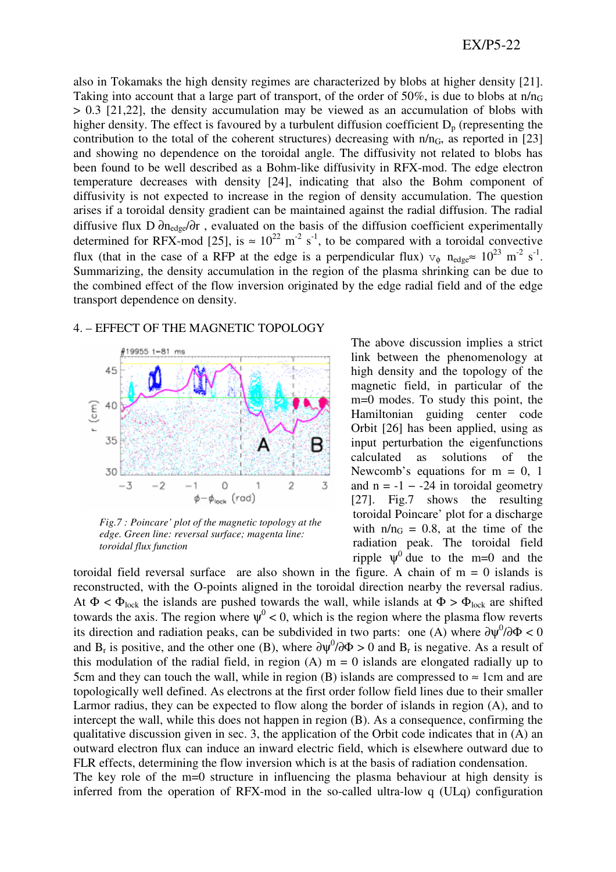also in Tokamaks the high density regimes are characterized by blobs at higher density [21]. Taking into account that a large part of transport, of the order of 50%, is due to blobs at  $n/n<sub>G</sub>$ > 0.3 [21,22], the density accumulation may be viewed as an accumulation of blobs with higher density. The effect is favoured by a turbulent diffusion coefficient  $D<sub>p</sub>$  (representing the contribution to the total of the coherent structures) decreasing with  $n/n<sub>G</sub>$ , as reported in [23] and showing no dependence on the toroidal angle. The diffusivity not related to blobs has been found to be well described as a Bohm-like diffusivity in RFX-mod. The edge electron temperature decreases with density [24], indicating that also the Bohm component of diffusivity is not expected to increase in the region of density accumulation. The question arises if a toroidal density gradient can be maintained against the radial diffusion. The radial diffusive flux D ∂n<sub>edge</sub>/∂r, evaluated on the basis of the diffusion coefficient experimentally determined for RFX-mod [25], is  $\approx 10^{22}$  m<sup>-2</sup> s<sup>-1</sup>, to be compared with a toroidal convective flux (that in the case of a RFP at the edge is a perpendicular flux)  $v_{\phi}$  n<sub>edge</sub>  $10^{23}$  m<sup>-2</sup> s<sup>-1</sup>. Summarizing, the density accumulation in the region of the plasma shrinking can be due to the combined effect of the flow inversion originated by the edge radial field and of the edge transport dependence on density.

## 4. – EFFECT OF THE MAGNETIC TOPOLOGY



*Fig.7 : Poincare' plot of the magnetic topology at the edge. Green line: reversal surface; magenta line: toroidal flux function*

The above discussion implies a strict link between the phenomenology at high density and the topology of the magnetic field, in particular of the m=0 modes. To study this point, the Hamiltonian guiding center code Orbit [26] has been applied, using as input perturbation the eigenfunctions calculated as solutions of the Newcomb's equations for  $m = 0$ , 1 and  $n = -1 - 24$  in toroidal geometry [27]. Fig.7 shows the resulting toroidal Poincare' plot for a discharge with  $n/n<sub>G</sub> = 0.8$ , at the time of the radiation peak. The toroidal field ripple  $\psi^0$  due to the m=0 and the

toroidal field reversal surface are also shown in the figure. A chain of  $m = 0$  islands is reconstructed, with the O-points aligned in the toroidal direction nearby the reversal radius. At  $\Phi < \Phi_{\text{lock}}$  the islands are pushed towards the wall, while islands at  $\Phi > \Phi_{\text{lock}}$  are shifted towards the axis. The region where  $\psi^0$  < 0, which is the region where the plasma flow reverts its direction and radiation peaks, can be subdivided in two parts: one (A) where  $\frac{\partial \psi^0}{\partial \Phi} < 0$ and B<sub>r</sub> is positive, and the other one (B), where  $\partial \psi^0 / \partial \Phi > 0$  and B<sub>r</sub> is negative. As a result of this modulation of the radial field, in region  $(A)$  m = 0 islands are elongated radially up to 5cm and they can touch the wall, while in region (B) islands are compressed to  $\approx 1$ cm and are topologically well defined. As electrons at the first order follow field lines due to their smaller Larmor radius, they can be expected to flow along the border of islands in region (A), and to intercept the wall, while this does not happen in region (B). As a consequence, confirming the qualitative discussion given in sec. 3, the application of the Orbit code indicates that in  $(A)$  an outward electron flux can induce an inward electric field, which is elsewhere outward due to FLR effects, determining the flow inversion which is at the basis of radiation condensation. The key role of the m=0 structure in influencing the plasma behaviour at high density is

inferred from the operation of RFX-mod in the so-called ultra-low q (ULq) configuration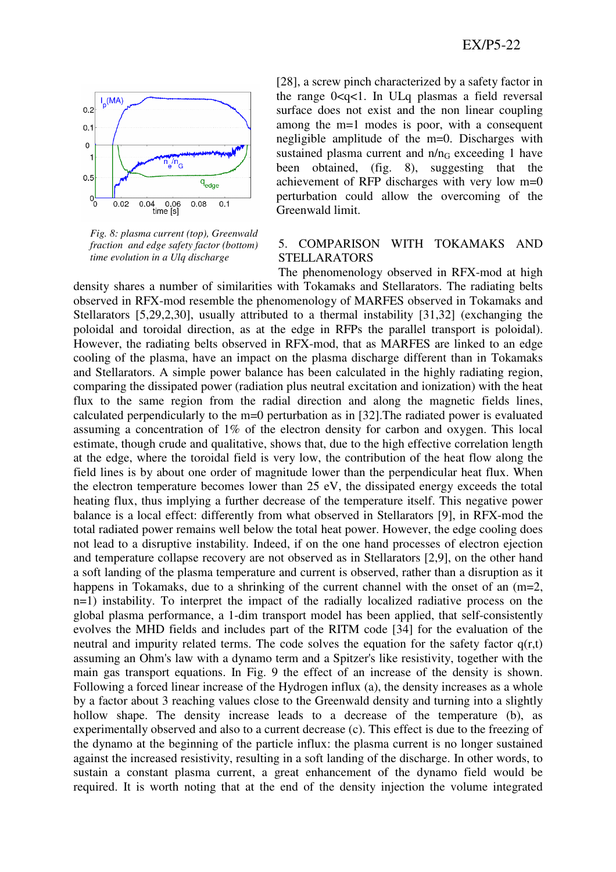

*Fig. 8: plasma current (top), Greenwald fraction and edge safety factor (bottom) time evolution in a Ulq discharge* 

[28], a screw pinch characterized by a safety factor in the range 0<q<1. In ULq plasmas a field reversal surface does not exist and the non linear coupling among the m=1 modes is poor, with a consequent negligible amplitude of the m=0. Discharges with sustained plasma current and  $n/n<sub>G</sub>$  exceeding 1 have been obtained, (fig. 8), suggesting that the achievement of RFP discharges with very low m=0 perturbation could allow the overcoming of the Greenwald limit.

## 5. COMPARISON WITH TOKAMAKS AND STELLARATORS

The phenomenology observed in RFX-mod at high density shares a number of similarities with Tokamaks and Stellarators. The radiating belts observed in RFX-mod resemble the phenomenology of MARFES observed in Tokamaks and Stellarators [5,29,2,30], usually attributed to a thermal instability [31,32] (exchanging the poloidal and toroidal direction, as at the edge in RFPs the parallel transport is poloidal). However, the radiating belts observed in RFX-mod, that as MARFES are linked to an edge cooling of the plasma, have an impact on the plasma discharge different than in Tokamaks and Stellarators. A simple power balance has been calculated in the highly radiating region, comparing the dissipated power (radiation plus neutral excitation and ionization) with the heat flux to the same region from the radial direction and along the magnetic fields lines, calculated perpendicularly to the m=0 perturbation as in [32].The radiated power is evaluated assuming a concentration of 1% of the electron density for carbon and oxygen. This local estimate, though crude and qualitative, shows that, due to the high effective correlation length at the edge, where the toroidal field is very low, the contribution of the heat flow along the field lines is by about one order of magnitude lower than the perpendicular heat flux. When the electron temperature becomes lower than 25 eV, the dissipated energy exceeds the total heating flux, thus implying a further decrease of the temperature itself. This negative power balance is a local effect: differently from what observed in Stellarators [9], in RFX-mod the total radiated power remains well below the total heat power. However, the edge cooling does not lead to a disruptive instability. Indeed, if on the one hand processes of electron ejection and temperature collapse recovery are not observed as in Stellarators [2,9], on the other hand a soft landing of the plasma temperature and current is observed, rather than a disruption as it happens in Tokamaks, due to a shrinking of the current channel with the onset of an  $(m=2,$ n=1) instability. To interpret the impact of the radially localized radiative process on the global plasma performance, a 1-dim transport model has been applied, that self-consistently evolves the MHD fields and includes part of the RITM code [34] for the evaluation of the neutral and impurity related terms. The code solves the equation for the safety factor  $q(r,t)$ assuming an Ohm's law with a dynamo term and a Spitzer's like resistivity, together with the main gas transport equations. In Fig. 9 the effect of an increase of the density is shown. Following a forced linear increase of the Hydrogen influx (a), the density increases as a whole by a factor about 3 reaching values close to the Greenwald density and turning into a slightly hollow shape. The density increase leads to a decrease of the temperature (b), as experimentally observed and also to a current decrease (c). This effect is due to the freezing of the dynamo at the beginning of the particle influx: the plasma current is no longer sustained against the increased resistivity, resulting in a soft landing of the discharge. In other words, to sustain a constant plasma current, a great enhancement of the dynamo field would be required. It is worth noting that at the end of the density injection the volume integrated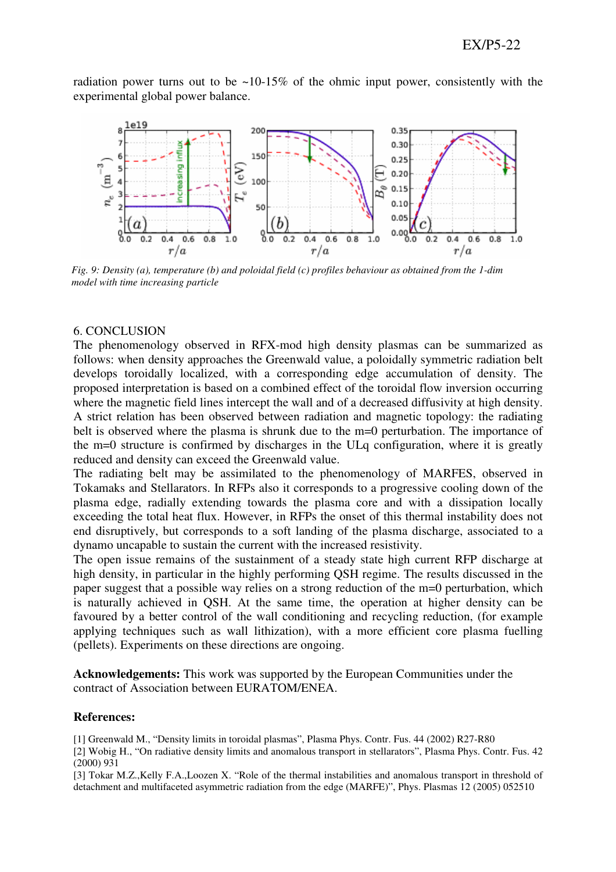radiation power turns out to be  $\sim$ 10-15% of the ohmic input power, consistently with the experimental global power balance.



*Fig. 9: Density (a), temperature (b) and poloidal field (c) profiles behaviour as obtained from the 1-dim model with time increasing particle* 

#### 6. CONCLUSION

The phenomenology observed in RFX-mod high density plasmas can be summarized as follows: when density approaches the Greenwald value, a poloidally symmetric radiation belt develops toroidally localized, with a corresponding edge accumulation of density. The proposed interpretation is based on a combined effect of the toroidal flow inversion occurring where the magnetic field lines intercept the wall and of a decreased diffusivity at high density. A strict relation has been observed between radiation and magnetic topology: the radiating belt is observed where the plasma is shrunk due to the m=0 perturbation. The importance of the m=0 structure is confirmed by discharges in the ULq configuration, where it is greatly reduced and density can exceed the Greenwald value.

The radiating belt may be assimilated to the phenomenology of MARFES, observed in Tokamaks and Stellarators. In RFPs also it corresponds to a progressive cooling down of the plasma edge, radially extending towards the plasma core and with a dissipation locally exceeding the total heat flux. However, in RFPs the onset of this thermal instability does not end disruptively, but corresponds to a soft landing of the plasma discharge, associated to a dynamo uncapable to sustain the current with the increased resistivity.

The open issue remains of the sustainment of a steady state high current RFP discharge at high density, in particular in the highly performing QSH regime. The results discussed in the paper suggest that a possible way relies on a strong reduction of the m=0 perturbation, which is naturally achieved in QSH. At the same time, the operation at higher density can be favoured by a better control of the wall conditioning and recycling reduction, (for example applying techniques such as wall lithization), with a more efficient core plasma fuelling (pellets). Experiments on these directions are ongoing.

**Acknowledgements:** This work was supported by the European Communities under the contract of Association between EURATOM/ENEA.

#### **References:**

[1] Greenwald M., "Density limits in toroidal plasmas", Plasma Phys. Contr. Fus. 44 (2002) R27-R80

[2] Wobig H., "On radiative density limits and anomalous transport in stellarators", Plasma Phys. Contr. Fus. 42 (2000) 931

[3] Tokar M.Z.,Kelly F.A.,Loozen X. "Role of the thermal instabilities and anomalous transport in threshold of detachment and multifaceted asymmetric radiation from the edge (MARFE)", Phys. Plasmas 12 (2005) 052510